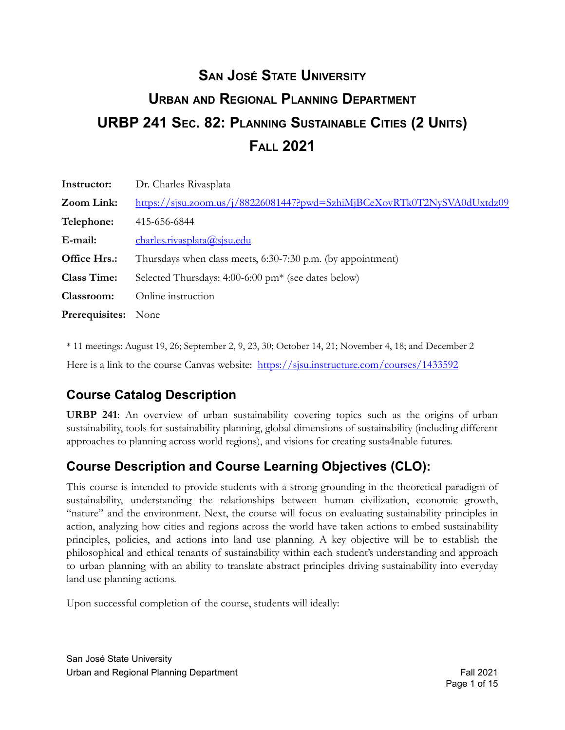# **URBP 241 SEC. 82: PLANNING SUSTAINABLE CITIES (2 UNITS) SAN JOSÉ STATE UNIVERSITY URBAN AND REGIONAL PLANNING DEPARTMENT FALL 2021**

| Instructor:                | Dr. Charles Rivasplata                                                  |
|----------------------------|-------------------------------------------------------------------------|
| Zoom Link:                 | https://sjsu.zoom.us/j/88226081447?pwd=SzhiMjBCeXovRTk0T2NySVA0dUxtdz09 |
| Telephone:                 | 415-656-6844                                                            |
| E-mail:                    | charles. rivasplata@sisu.edu                                            |
| Office Hrs.:               | Thursdays when class meets, 6:30-7:30 p.m. (by appointment)             |
| <b>Class Time:</b>         | Selected Thursdays: 4:00-6:00 pm <sup>*</sup> (see dates below)         |
| Classroom:                 | Online instruction                                                      |
| <b>Prerequisites:</b> None |                                                                         |

 \* 11 meetings: August 19, 26; September 2, 9, 23, 30; October 14, 21; November 4, 18; and December 2 Here is a link to the course Canvas website: https://sisu.instructure.com/courses/1433592

# **Course Catalog Description**

**URBP 241**: An overview of urban sustainability covering topics such as the origins of urban sustainability, tools for sustainability planning, global dimensions of sustainability (including different approaches to planning across world regions), and visions for creating susta4nable futures.

# **Course Description and Course Learning Objectives (CLO):**

This course is intended to provide students with a strong grounding in the theoretical paradigm of sustainability, understanding the relationships between human civilization, economic growth, "nature" and the environment. Next, the course will focus on evaluating sustainability principles in action, analyzing how cities and regions across the world have taken actions to embed sustainability principles, policies, and actions into land use planning. A key objective will be to establish the philosophical and ethical tenants of sustainability within each student's understanding and approach to urban planning with an ability to translate abstract principles driving sustainability into everyday land use planning actions.

Upon successful completion of the course, students will ideally:

 San José State University Urban and Regional Planning Department **Fall 2021** Company of Fall 2021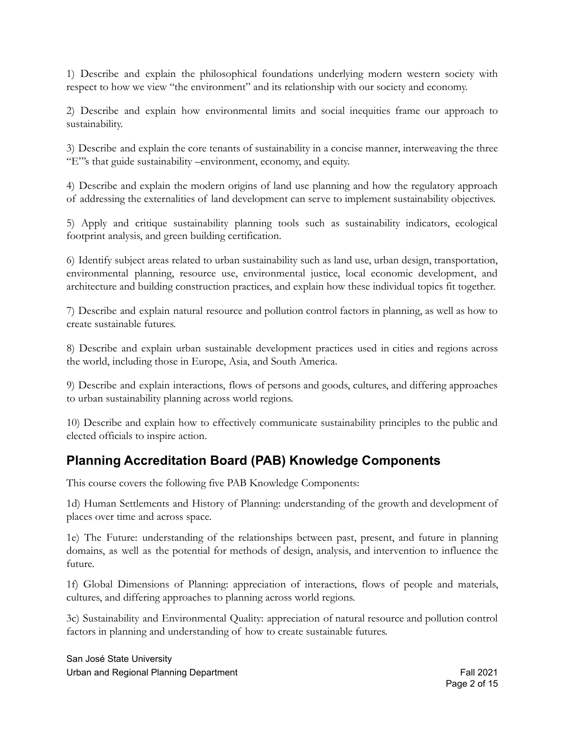1) Describe and explain the philosophical foundations underlying modern western society with respect to how we view "the environment" and its relationship with our society and economy.

2) Describe and explain how environmental limits and social inequities frame our approach to sustainability.

3) Describe and explain the core tenants of sustainability in a concise manner, interweaving the three "E"'s that guide sustainability –environment, economy, and equity.

4) Describe and explain the modern origins of land use planning and how the regulatory approach of addressing the externalities of land development can serve to implement sustainability objectives.

5) Apply and critique sustainability planning tools such as sustainability indicators, ecological footprint analysis, and green building certification.

6) Identify subject areas related to urban sustainability such as land use, urban design, transportation, environmental planning, resource use, environmental justice, local economic development, and architecture and building construction practices, and explain how these individual topics fit together.

7) Describe and explain natural resource and pollution control factors in planning, as well as how to create sustainable futures.

8) Describe and explain urban sustainable development practices used in cities and regions across the world, including those in Europe, Asia, and South America.

9) Describe and explain interactions, flows of persons and goods, cultures, and differing approaches to urban sustainability planning across world regions.

10) Describe and explain how to effectively communicate sustainability principles to the public and elected officials to inspire action.

#### **Planning Accreditation Board (PAB) Knowledge Components**

This course covers the following five PAB Knowledge Components:

1d) Human Settlements and History of Planning: understanding of the growth and development of places over time and across space.

1e) The Future: understanding of the relationships between past, present, and future in planning domains, as well as the potential for methods of design, analysis, and intervention to influence the future.

1f) Global Dimensions of Planning: appreciation of interactions, flows of people and materials, cultures, and differing approaches to planning across world regions.

3c) Sustainability and Environmental Quality: appreciation of natural resource and pollution control factors in planning and understanding of how to create sustainable futures.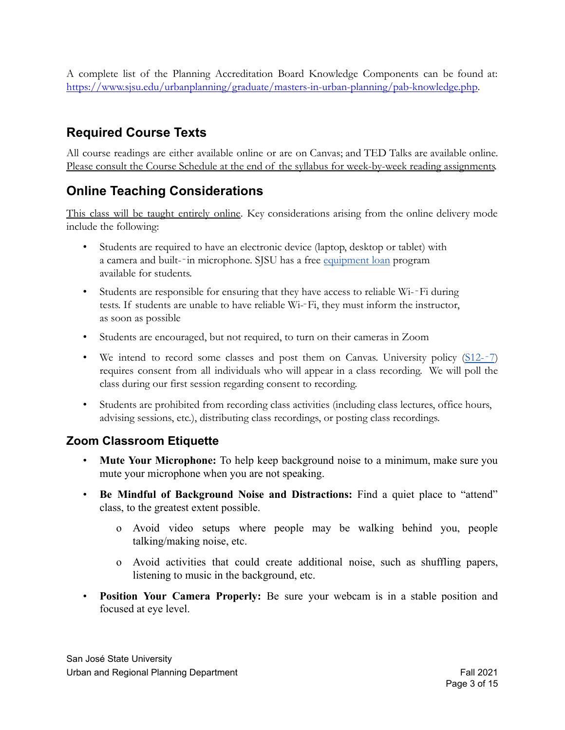A complete list of the Planning Accreditation Board Knowledge Components can be found at: [https://www.sjsu.edu/urbanplanning/graduate/masters-in-urban-planning/pab-knowledge.php.](https://www.sjsu.edu/urbanplanning/graduate/masters-in-urban-planning/pab-knowledge.php)

#### **Required Course Texts**

All course readings are either available online or are on Canvas; and TED Talks are available online. Please consult the Course Schedule at the end of the syllabus for week-by-week reading assignments.

### **Online Teaching Considerations**

This class will be taught entirely online. Key considerations arising from the online delivery mode include the following:

- Students are required to have an electronic device (laptop, desktop or tablet) with a camera and built-‐in microphone. SJSU has a free [equipment loan](https://www.sjsu.edu/learnanywhere/equipment/index.php) program available for students.
- Students are responsible for ensuring that they have access to reliable Wi--Fi during tests. If students are unable to have reliable Wi-‐Fi, they must inform the instructor, as soon as possible
- Students are encouraged, but not required, to turn on their cameras in Zoom
- We intend to record some classes and post them on Canvas. University policy [\(S12-](https://www.sjsu.edu/senate/docs/S12-7.pdf)-7) requires consent from all individuals who will appear in a class recording. We will poll the class during our first session regarding consent to recording.
- Students are prohibited from recording class activities (including class lectures, office hours, advising sessions, etc.), distributing class recordings, or posting class recordings.

#### **Zoom Classroom Etiquette**

- **Mute Your Microphone:** To help keep background noise to a minimum, make sure you mute your microphone when you are not speaking.
- **Be Mindful of Background Noise and Distractions:** Find a quiet place to "attend" class, to the greatest extent possible.
	- o Avoid video setups where people may be walking behind you, people talking/making noise, etc.
	- o Avoid activities that could create additional noise, such as shuffling papers, listening to music in the background, etc.
- **Position Your Camera Properly:** Be sure your webcam is in a stable position and focused at eye level.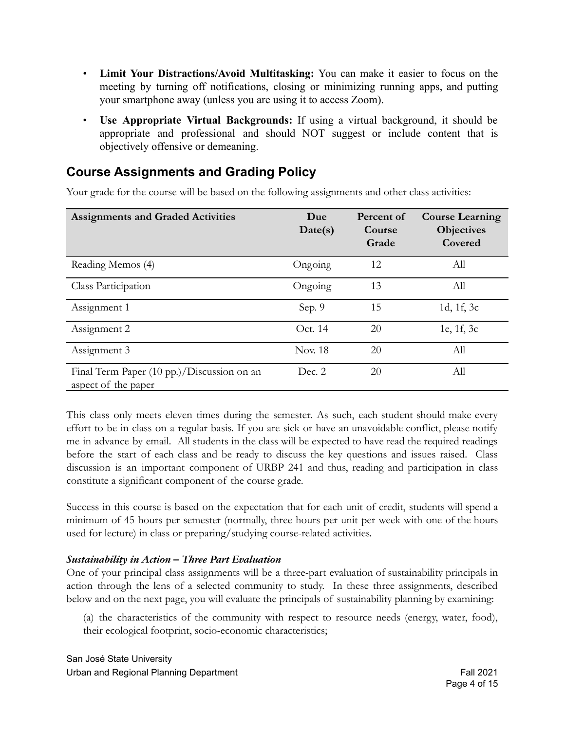- **Limit Your Distractions/Avoid Multitasking:** You can make it easier to focus on the meeting by turning off notifications, closing or minimizing running apps, and putting your smartphone away (unless you are using it to access Zoom).
- **Use Appropriate Virtual Backgrounds:** If using a virtual background, it should be appropriate and professional and should NOT suggest or include content that is objectively offensive or demeaning.

### **Course Assignments and Grading Policy**

Your grade for the course will be based on the following assignments and other class activities:

| <b>Assignments and Graded Activities</b>                          | Due<br>Date(s) | Percent of<br>Course<br>Grade | <b>Course Learning</b><br><b>Objectives</b><br>Covered |
|-------------------------------------------------------------------|----------------|-------------------------------|--------------------------------------------------------|
| Reading Memos (4)                                                 | Ongoing        | 12                            | All                                                    |
| Class Participation                                               | Ongoing        | 13                            | All                                                    |
| Assignment 1                                                      | Sep. 9         | 15                            | 1d, 1f, 3c                                             |
| Assignment 2                                                      | Oct. 14        | 20                            | 1e, 1f, 3c                                             |
| Assignment 3                                                      | <b>Nov. 18</b> | 20                            | All                                                    |
| Final Term Paper (10 pp.)/Discussion on an<br>aspect of the paper | Dec. 2         | 20                            | All                                                    |

This class only meets eleven times during the semester. As such, each student should make every effort to be in class on a regular basis. If you are sick or have an unavoidable conflict, please notify me in advance by email. All students in the class will be expected to have read the required readings before the start of each class and be ready to discuss the key questions and issues raised. Class discussion is an important component of URBP 241 and thus, reading and participation in class constitute a significant component of the course grade.

Success in this course is based on the expectation that for each unit of credit, students will spend a minimum of 45 hours per semester (normally, three hours per unit per week with one of the hours used for lecture) in class or preparing/studying course-related activities.

#### *Sustainability in Action – Three Part Evaluation*

One of your principal class assignments will be a three-part evaluation of sustainability principals in action through the lens of a selected community to study. In these three assignments, described below and on the next page, you will evaluate the principals of sustainability planning by examining:

(a) the characteristics of the community with respect to resource needs (energy, water, food), their ecological footprint, socio-economic characteristics;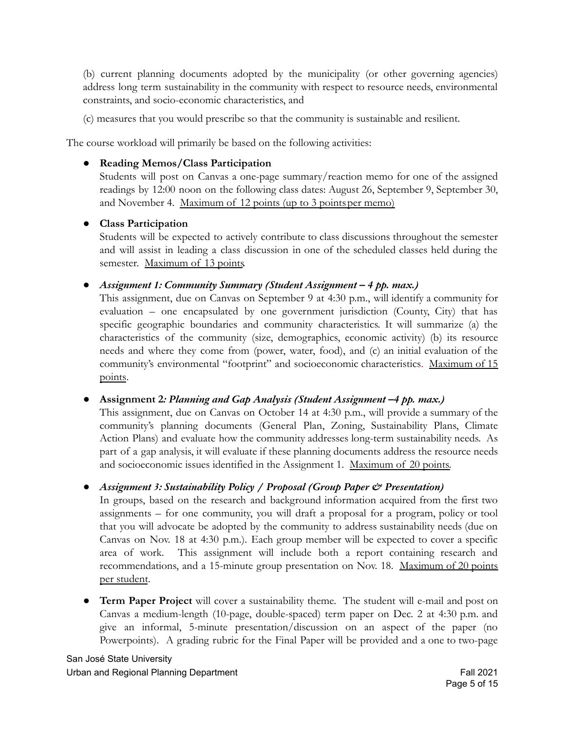(b) current planning documents adopted by the municipality (or other governing agencies) address long term sustainability in the community with respect to resource needs, environmental constraints, and socio-economic characteristics, and

(c) measures that you would prescribe so that the community is sustainable and resilient.

The course workload will primarily be based on the following activities:

#### ● **Reading Memos/Class Participation**

Students will post on Canvas a one-page summary/reaction memo for one of the assigned readings by 12:00 noon on the following class dates: August 26, September 9, September 30, and November 4. Maximum of 12 points (up to 3 pointsper memo)

#### ● **Class Participation**

Students will be expected to actively contribute to class discussions throughout the semester and will assist in leading a class discussion in one of the scheduled classes held during the semester. Maximum of 13 points.

*● Assignment 1: Community Summary (Student Assignment – 4 pp. max.)*

This assignment, due on Canvas on September 9 at 4:30 p.m., will identify a community for evaluation – one encapsulated by one government jurisdiction (County, City) that has specific geographic boundaries and community characteristics. It will summarize (a) the characteristics of the community (size, demographics, economic activity) (b) its resource needs and where they come from (power, water, food), and (c) an initial evaluation of the community's environmental "footprint" and socioeconomic characteristics. Maximum of 15 points.

#### *●* **Assignment 2***: Planning and Gap Analysis (Student Assignment –4 pp. max.)*

This assignment, due on Canvas on October 14 at 4:30 p.m., will provide a summary of the community's planning documents (General Plan, Zoning, Sustainability Plans, Climate Action Plans) and evaluate how the community addresses long-term sustainability needs. As part of a gap analysis, it will evaluate if these planning documents address the resource needs and socioeconomic issues identified in the Assignment 1. Maximum of 20 points.

#### *● Assignment 3: Sustainability Policy / Proposal (Group Paper & Presentation)*

In groups, based on the research and background information acquired from the first two assignments – for one community, you will draft a proposal for a program, policy or tool that you will advocate be adopted by the community to address sustainability needs (due on Canvas on Nov. 18 at 4:30 p.m.). Each group member will be expected to cover a specific area of work. This assignment will include both a report containing research and recommendations, and a 15-minute group presentation on Nov. 18. Maximum of 20 points per student.

● **Term Paper Project** will cover a sustainability theme. The student will e-mail and post on Canvas a medium-length (10-page, double-spaced) term paper on Dec. 2 at 4:30 p.m. and give an informal, 5-minute presentation/discussion on an aspect of the paper (no Powerpoints). A grading rubric for the Final Paper will be provided and a one to two-page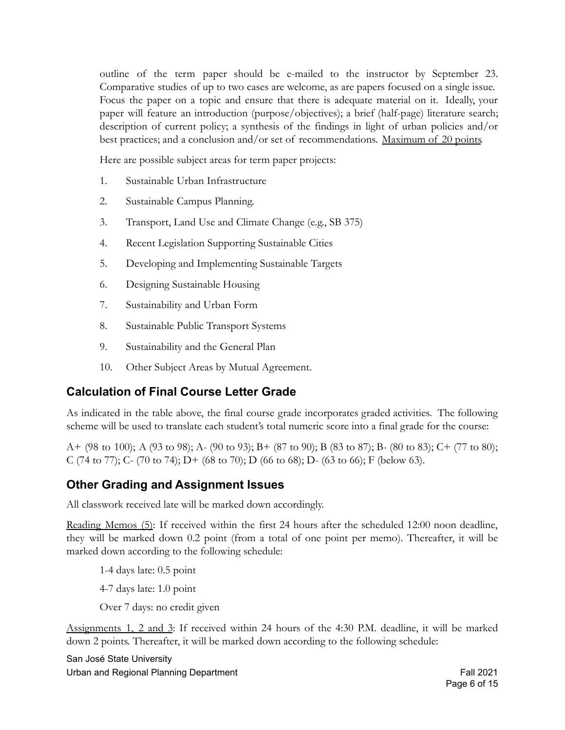outline of the term paper should be e-mailed to the instructor by September 23. Comparative studies of up to two cases are welcome, as are papers focused on a single issue. Focus the paper on a topic and ensure that there is adequate material on it. Ideally, your paper will feature an introduction (purpose/objectives); a brief (half-page) literature search; description of current policy; a synthesis of the findings in light of urban policies and/or best practices; and a conclusion and/or set of recommendations. Maximum of 20 points.

Here are possible subject areas for term paper projects:

- 1. Sustainable Urban Infrastructure
- 2. Sustainable Campus Planning.
- 3. Transport, Land Use and Climate Change (e.g., SB 375)
- 4. Recent Legislation Supporting Sustainable Cities
- 5. Developing and Implementing Sustainable Targets
- 6. Designing Sustainable Housing
- 7. Sustainability and Urban Form
- 8. Sustainable Public Transport Systems
- 9. Sustainability and the General Plan
- 10. Other Subject Areas by Mutual Agreement.

#### **Calculation of Final Course Letter Grade**

As indicated in the table above, the final course grade incorporates graded activities. The following scheme will be used to translate each student's total numeric score into a final grade for the course:

A+ (98 to 100); A (93 to 98); A- (90 to 93); B+ (87 to 90); B (83 to 87); B- (80 to 83); C+ (77 to 80); C (74 to 77); C- (70 to 74); D+ (68 to 70); D (66 to 68); D- (63 to 66); F (below 63).

#### **Other Grading and Assignment Issues**

All classwork received late will be marked down accordingly.

Reading Memos (5): If received within the first 24 hours after the scheduled 12:00 noon deadline, they will be marked down 0.2 point (from a total of one point per memo). Thereafter, it will be marked down according to the following schedule:

1-4 days late: 0.5 point

4-7 days late: 1.0 point

Over 7 days: no credit given

Assignments 1, 2 and 3: If received within 24 hours of the 4:30 P.M. deadline, it will be marked down 2 points. Thereafter, it will be marked down according to the following schedule:

 San José State University Urban and Regional Planning Department **Fall 2021** Company of Fall 2021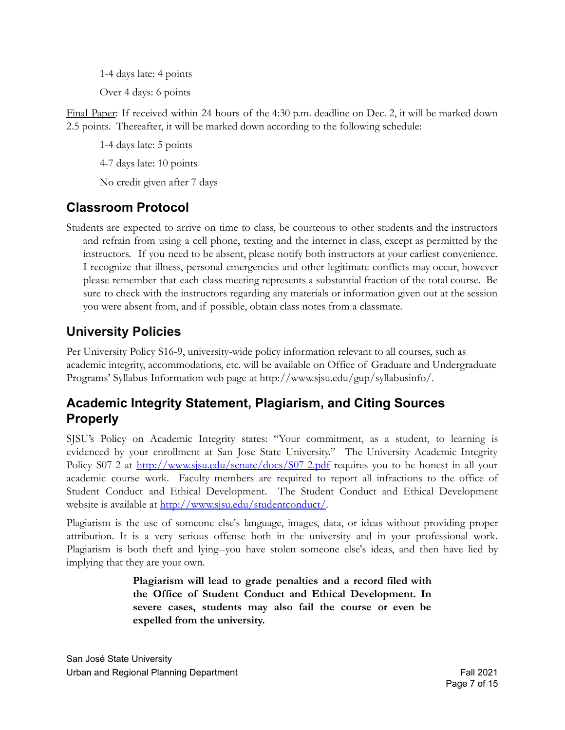1-4 days late: 4 points

Over 4 days: 6 points

Final Paper: If received within 24 hours of the 4:30 p.m. deadline on Dec. 2, it will be marked down 2.5 points. Thereafter, it will be marked down according to the following schedule:

1-4 days late: 5 points

4-7 days late: 10 points

No credit given after 7 days

### **Classroom Protocol**

Students are expected to arrive on time to class, be courteous to other students and the instructors and refrain from using a cell phone, texting and the internet in class, except as permitted by the instructors. If you need to be absent, please notify both instructors at your earliest convenience. I recognize that illness, personal emergencies and other legitimate conflicts may occur, however please remember that each class meeting represents a substantial fraction of the total course. Be sure to check with the instructors regarding any materials or information given out at the session you were absent from, and if possible, obtain class notes from a classmate.

### **University Policies**

Per University Policy S16-9, university-wide policy information relevant to all courses, such as academic integrity, accommodations, etc. will be available on Office of Graduate and Undergraduate Programs' Syllabus Information web page at [http://www.sjsu.edu/gup/syllabusinfo/](http://www.sjsu.edu/gup/syllabusinfo).

#### **Academic Integrity Statement, Plagiarism, and Citing Sources Properly**

SJSU's Policy on Academic Integrity states: "Your commitment, as a student, to learning is evidenced by your enrollment at San Jose State University." The [University](http://www.sjsu.edu/senate/docs/S07-2.pdf) Academic Integrity [Policy](http://www.sjsu.edu/senate/docs/S07-2.pdf) S07-2 at <http://www.sjsu.edu/senate/docs/S07-2.pdf> requires you to be honest in all your academic course work. Faculty members are required to report all infractions to the office of Student Conduct and Ethical Development. The Student Conduct and Ethical [Development](http://www.sjsu.edu/studentconduct/) [website](http://www.sjsu.edu/studentconduct/) is available at <http://www.sjsu.edu/studentconduct/>.

Plagiarism is the use of someone else's language, images, data, or ideas without providing proper attribution. It is a very serious offense both in the university and in your professional work. Plagiarism is both theft and lying--you have stolen someone else's ideas, and then have lied by implying that they are your own.

> **Plagiarism will lead to grade penalties and a record filed with the Office of Student Conduct and Ethical Development. In severe cases, students may also fail the course or even be expelled from the university.**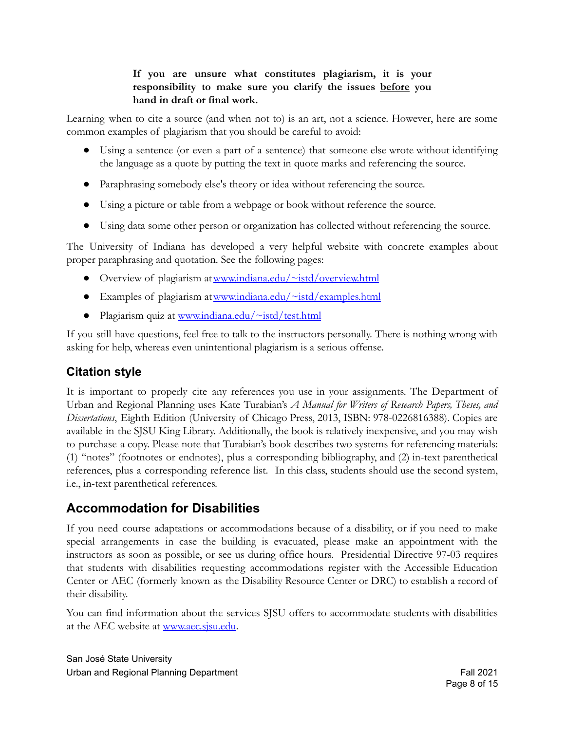#### **If you are unsure what constitutes plagiarism, it is your responsibility to make sure you clarify the issues before you hand in draft or final work.**

Learning when to cite a source (and when not to) is an art, not a science. However, here are some common examples of plagiarism that you should be careful to avoid:

- Using a sentence (or even a part of a sentence) that someone else wrote without identifying the language as a quote by putting the text in quote marks and referencing the source.
- Paraphrasing somebody else's theory or idea without referencing the source.
- Using a picture or table from a webpage or book without reference the source.
- Using data some other person or organization has collected without referencing the source.

The University of Indiana has developed a very helpful website with concrete examples about proper paraphrasing and quotation. See the following pages:

- Overview of plagiarism at [www.indiana.edu/~istd/overview.html](http://www.indiana.edu/~istd/overview.html)
- Examples of plagiarism at www.indiana.edu/ $\sim$ istd/examples.html
- Plagiarism quiz at [www.indiana.edu/~istd/test.html](http://www.indiana.edu/~istd/test.html)

If you still have questions, feel free to talk to the instructors personally. There is nothing wrong with asking for help, whereas even unintentional plagiarism is a serious offense.

#### **Citation style**

It is important to properly cite any references you use in your assignments. The Department of Urban and Regional Planning uses Kate Turabian's *A Manual for Writers of Research Papers, Theses, and Dissertations*, Eighth Edition (University of Chicago Press, 2013, ISBN: 978-0226816388). Copies are available in the SJSU King Library. Additionally, the book is relatively inexpensive, and you may wish to purchase a copy. Please note that Turabian's book describes two systems for referencing materials: (1) "notes" (footnotes or endnotes), plus a corresponding bibliography, and (2) in-text parenthetical references, plus a corresponding reference list. In this class, students should use the second system, i.e., in-text parenthetical references.

#### **Accommodation for Disabilities**

If you need course adaptations or accommodations because of a disability, or if you need to make special arrangements in case the building is evacuated, please make an appointment with the instructors as soon as possible, or see us during office hours. Presidential Directive 97-03 requires that students with disabilities requesting accommodations register with the Accessible Education Center or AEC (formerly known as the Disability Resource Center or DRC) to establish a record of their disability.

You can find information about the services SJSU offers to accommodate students with disabilities at the AEC website at [www.aec.sjsu.edu.](http://www.aec.sjsu.edu)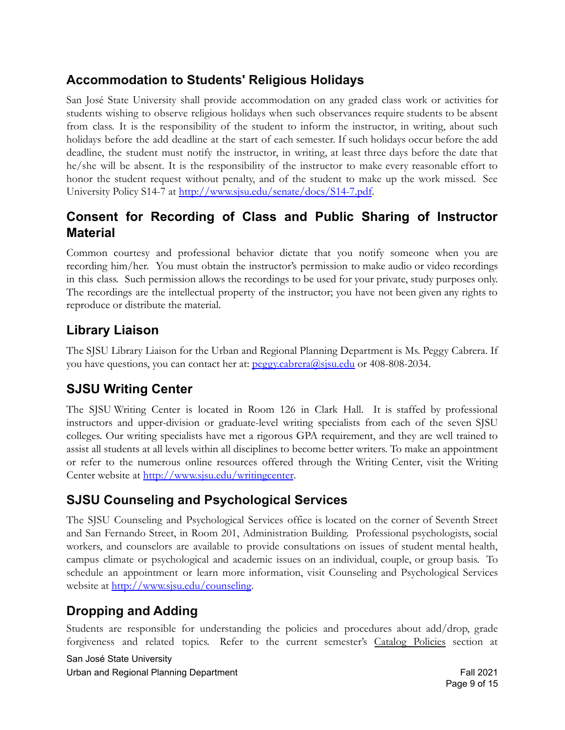# **Accommodation to Students' Religious Holidays**

San José State University shall provide accommodation on any graded class work or activities for students wishing to observe religious holidays when such observances require students to be absent from class. It is the responsibility of the student to inform the instructor, in writing, about such holidays before the add deadline at the start of each semester. If such holidays occur before the add deadline, the student must notify the instructor, in writing, at least three days before the date that he/she will be absent. It is the responsibility of the instructor to make every reasonable effort to honor the student request without penalty, and of the student to make up the work missed. See [University Policy S14-7](http://www.sjsu.edu/senate/docs/S14-7.pdf) at <http://www.sjsu.edu/senate/docs/S14-7.pdf>.

### **Consent for Recording of Class and Public Sharing of Instructor Material**

Common courtesy and professional behavior dictate that you notify someone when you are recording him/her. You must obtain the instructor's permission to make audio or video recordings in this class. Such permission allows the recordings to be used for your private, study purposes only. The recordings are the intellectual property of the instructor; you have not been given any rights to reproduce or distribute the material.

# **Library Liaison**

The SJSU Library Liaison for the Urban and Regional Planning Department is Ms. Peggy Cabrera. If you have questions, you can contact her at: peggy.cabrera@sisu.edu or 408-808-2034.

# **SJSU Writing Center**

The SJSU Writing Center is located in Room 126 in Clark Hall. It is staffed by professional instructors and upper-division or graduate-level writing specialists from each of the seven SJSU colleges. Our writing specialists have met a rigorous GPA requirement, and they are well trained to assist all students at all levels within all disciplines to become better writers. To make an appointment or refer to the numerous online resources offered through the Writing Center, visit the Writing Center website at <http://www.sjsu.edu/writingcenter>.

# **SJSU Counseling and Psychological Services**

The SJSU Counseling and Psychological Services office is located on the corner of Seventh Street and San Fernando Street, in Room 201, Administration Building. Professional psychologists, social workers, and counselors are available to provide consultations on issues of student mental health, campus climate or psychological and academic issues on an individual, couple, or group basis. To schedule an appointment or learn more information, visit Counseling and [Psychological](http://www.sjsu.edu/counseling) Services [website](http://www.sjsu.edu/counseling) at <http://www.sjsu.edu/counseling>.

# **Dropping and Adding**

Students are responsible for understanding the policies and procedures about add/drop, grade forgiveness and related topics. Refer to the current semester's Catalog [Policies](http://info.sjsu.edu/static/catalog/policies.html) section at

 San José State University Urban and Regional Planning Department **Fall 2021** Company of Fall 2021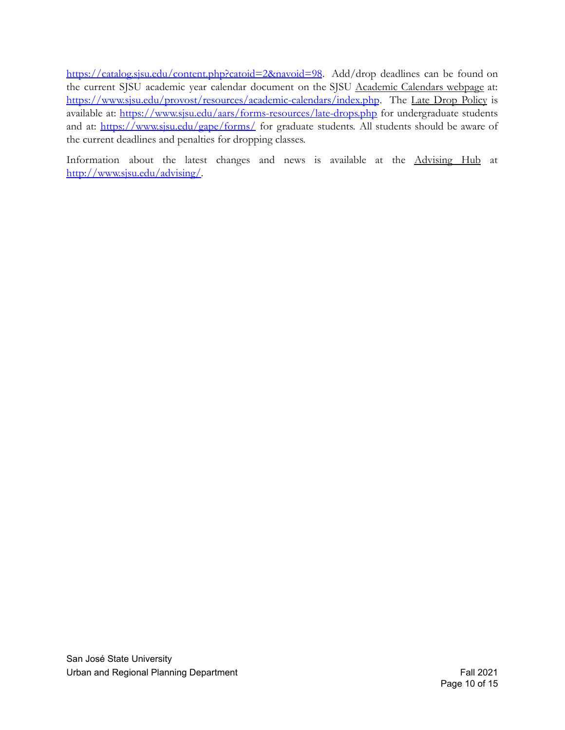https://catalog.sisu.edu/content.php?catoid=2&navoid=98. Add/drop deadlines can be found on the current SJSU academic year calendar document on the SJSU [Academic](http://www.sjsu.edu/provost/services/academic_calendars/) Calendars webpage at: <https://www.sjsu.edu/provost/resources/academic-calendars/index.php>. The Late Drop [Policy](http://www.sjsu.edu/aars/policies/latedrops/policy/) is available at: <https://www.sjsu.edu/aars/forms-resources/late-drops.php> for undergraduate students and at: <https://www.sjsu.edu/gape/forms/> for graduate students. All students should be aware of the current deadlines and penalties for dropping classes.

Information about the latest changes and news is available at the [Advising](http://www.sjsu.edu/advising/) Hub at [http://www.sjsu.edu/advising/.](http://www.sjsu.edu/advising/)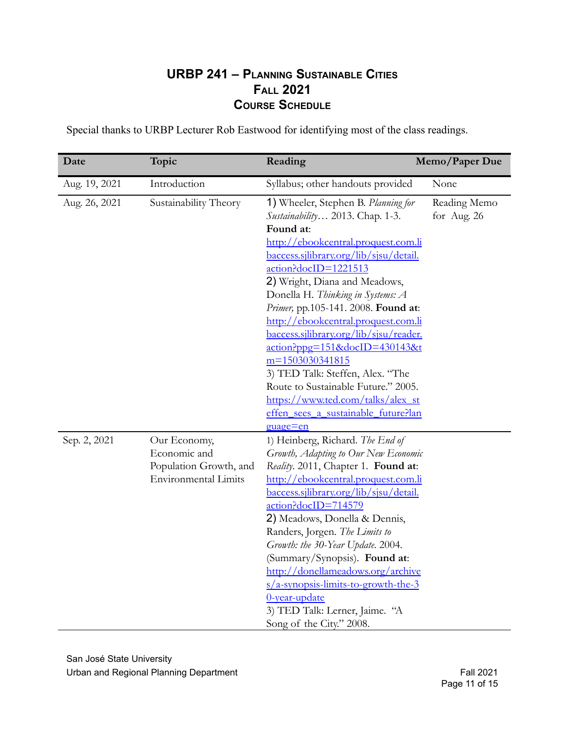#### **URBP 241 – PLANNING SUSTAINABLE CITIES FALL 2021 COURSE SCHEDULE**

Special thanks to URBP Lecturer Rob Eastwood for identifying most of the class readings.

| Date          | Topic                                                                                 | Reading                                                                                                                                                                                                                                                                                                                                                                                                                                                                                                                                                                                                                           | Memo/Paper Due              |
|---------------|---------------------------------------------------------------------------------------|-----------------------------------------------------------------------------------------------------------------------------------------------------------------------------------------------------------------------------------------------------------------------------------------------------------------------------------------------------------------------------------------------------------------------------------------------------------------------------------------------------------------------------------------------------------------------------------------------------------------------------------|-----------------------------|
| Aug. 19, 2021 | Introduction                                                                          | Syllabus; other handouts provided                                                                                                                                                                                                                                                                                                                                                                                                                                                                                                                                                                                                 | None                        |
| Aug. 26, 2021 | Sustainability Theory                                                                 | 1) Wheeler, Stephen B. Planning for<br><i>Sustainability</i> 2013. Chap. 1-3.<br>Found at:<br>http://ebookcentral.proquest.com.li<br>baccess.sjlibrary.org/lib/sjsu/detail.<br>action?docID=1221513<br>2) Wright, Diana and Meadows,<br>Donella H. Thinking in Systems: A<br>Primer, pp.105-141. 2008. Found at:<br>http://ebookcentral.proquest.com.li<br><u>baccess.sjlibrary.org/lib/sjsu/reader.</u><br>action?ppg=151&docID=430143&t<br>$m=1503030341815$<br>3) TED Talk: Steffen, Alex. "The<br>Route to Sustainable Future." 2005.<br>https://www.ted.com/talks/alex_st<br>effen sees a sustainable future?lan<br>guage=en | Reading Memo<br>for Aug. 26 |
| Sep. 2, 2021  | Our Economy,<br>Economic and<br>Population Growth, and<br><b>Environmental Limits</b> | 1) Heinberg, Richard. The End of<br>Growth, Adapting to Our New Economic<br>Reality. 2011, Chapter 1. Found at:<br>http://ebookcentral.proquest.com.li<br>baccess.silibrary.org/lib/sisu/detail.<br>action?docID=714579<br>2) Meadows, Donella & Dennis,<br>Randers, Jorgen. The Limits to<br>Growth: the 30-Year Update. 2004.<br>(Summary/Synopsis). Found at:<br>http://donellameadows.org/archive<br>$s/a$ -synopsis-limits-to-growth-the-3<br>0-year-update<br>3) TED Talk: Lerner, Jaime. "A<br>Song of the City." 2008.                                                                                                    |                             |

 San José State University Urban and Regional Planning Department **Fall 2021** Communication Communication Communication Communication Commun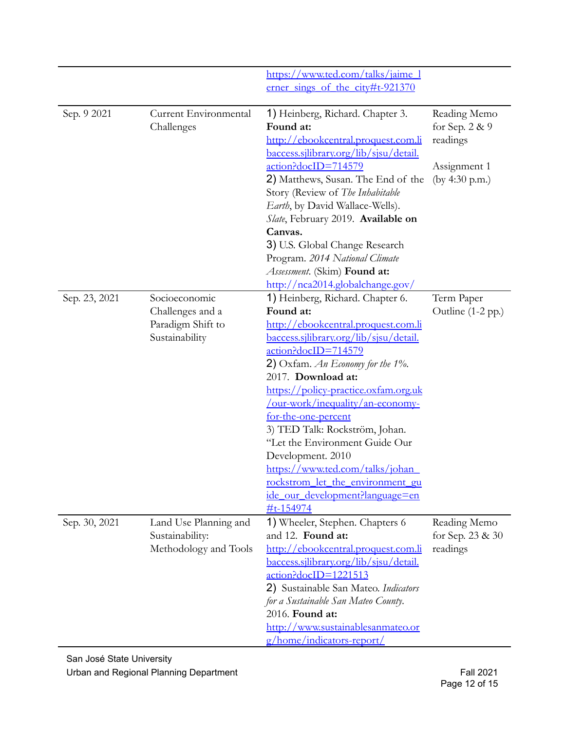|               |                                                                          | https://www.ted.com/talks/jaime 1<br>erner sings of the city#t-921370                                                                                                                                                                                                                                                                                                                                                                                                                                                                                       |                                                                              |
|---------------|--------------------------------------------------------------------------|-------------------------------------------------------------------------------------------------------------------------------------------------------------------------------------------------------------------------------------------------------------------------------------------------------------------------------------------------------------------------------------------------------------------------------------------------------------------------------------------------------------------------------------------------------------|------------------------------------------------------------------------------|
| Sep. 9 2021   | Current Environmental<br>Challenges                                      | 1) Heinberg, Richard. Chapter 3.<br>Found at:<br>http://ebookcentral.proquest.com.li<br>baccess.sjlibrary.org/lib/sjsu/detail.<br>action?docID=714579<br>2) Matthews, Susan. The End of the<br>Story (Review of The Inhabitable<br>Earth, by David Wallace-Wells).<br>Slate, February 2019. Available on<br>Canvas.<br>3) U.S. Global Change Research<br>Program. 2014 National Climate<br>Assessment. (Skim) Found at:<br>http://nca2014.globalchange.gov/                                                                                                 | Reading Memo<br>for Sep. 2 & 9<br>readings<br>Assignment 1<br>(by 4:30 p.m.) |
| Sep. 23, 2021 | Socioeconomic<br>Challenges and a<br>Paradigm Shift to<br>Sustainability | 1) Heinberg, Richard. Chapter 6.<br>Found at:<br>http://ebookcentral.proquest.com.li<br><u>baccess.silibrary.org/lib/sisu/detail.</u><br>action?docID=714579<br>2) Oxfam. An Economy for the $1\%$ .<br>2017. Download at:<br>https://policy-practice.oxfam.org.uk<br><u>/our-work/inequality/an-economy-</u><br>for-the-one-percent<br>3) TED Talk: Rockström, Johan.<br>"Let the Environment Guide Our<br>Development. 2010<br>https://www.ted.com/talks/johan<br>rockstrom let the environment gu<br>ide our development?language=en<br><u>#t-154974</u> | Term Paper<br>Outline (1-2 pp.)                                              |
| Sep. 30, 2021 | Land Use Planning and<br>Sustainability:<br>Methodology and Tools        | 1) Wheeler, Stephen. Chapters 6<br>and 12. Found at:<br>http://ebookcentral.proquest.com.li<br><u>baccess.silibrary.org/lib/sisu/detail.</u><br>action?docID=1221513<br>2) Sustainable San Mateo. Indicators<br>for a Sustainable San Mateo County.<br>2016. Found at:<br>http://www.sustainablesanmateo.or<br><u>g/home/indicators-report/</u>                                                                                                                                                                                                             | Reading Memo<br>for Sep. 23 & 30<br>readings                                 |

 San José State University Urban and Regional Planning Department **Fall 2021** Communication Communication Communication Communication Commun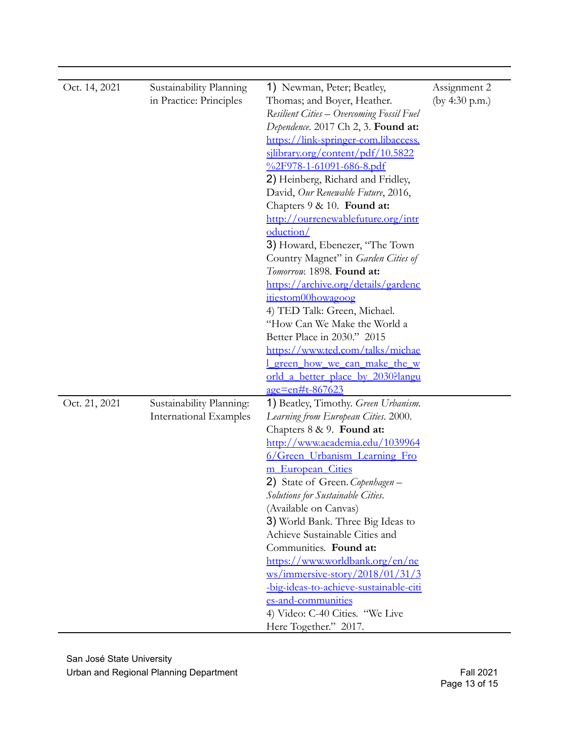| Oct. 14, 2021 | Sustainability Planning<br>in Practice: Principles | 1) Newman, Peter; Beatley,<br>Thomas; and Boyer, Heather.<br>Resilient Cities - Overcoming Fossil Fuel<br>Dependence. 2017 Ch 2, 3. Found at:<br>https://link-springer-com.libaccess.<br>silibrary.org/content/pdf/10.5822<br>%2F978-1-61091-686-8.pdf<br>2) Heinberg, Richard and Fridley,<br>David, Our Renewable Future, 2016,<br>Chapters 9 & 10. Found at:<br>http://ourrenewablefuture.org/intr<br>oduction/<br>3) Howard, Ebenezer, "The Town<br>Country Magnet" in Garden Cities of<br>Tomorrow. 1898. Found at:<br>https://archive.org/details/gardenc<br>itiestom00howagoog<br>4) TED Talk: Green, Michael.<br>"How Can We Make the World a<br>Better Place in 2030." 2015<br>https://www.ted.com/talks/michae<br>green how we can make the w<br>orld a better place by 2030?langu | Assignment 2<br>(by 4:30 p.m.) |
|---------------|----------------------------------------------------|----------------------------------------------------------------------------------------------------------------------------------------------------------------------------------------------------------------------------------------------------------------------------------------------------------------------------------------------------------------------------------------------------------------------------------------------------------------------------------------------------------------------------------------------------------------------------------------------------------------------------------------------------------------------------------------------------------------------------------------------------------------------------------------------|--------------------------------|
| Oct. 21, 2021 | Sustainability Planning:<br>International Examples | age=en#t-867623<br>1) Beatley, Timothy. Green Urbanism.<br>Learning from European Cities. 2000.<br>Chapters 8 & 9. Found at:<br>http://www.academia.edu/1039964<br>6/Green Urbanism Learning Fro<br>m European Cities<br>2) State of Green. Copenhagen –<br>Solutions for Sustainable Cities.<br>(Available on Canvas)<br>3) World Bank. Three Big Ideas to<br>Achieve Sustainable Cities and<br>Communities. Found at:<br>https://www.worldbank.org/en/ne<br>$\frac{\text{ws}}{\text{immersive-story}}\frac{2018}{01}/31/3$<br>-big-ideas-to-achieve-sustainable-citi<br>es-and-communities<br>4) Video: C-40 Cities. "We Live<br>Here Together." 2017.                                                                                                                                     |                                |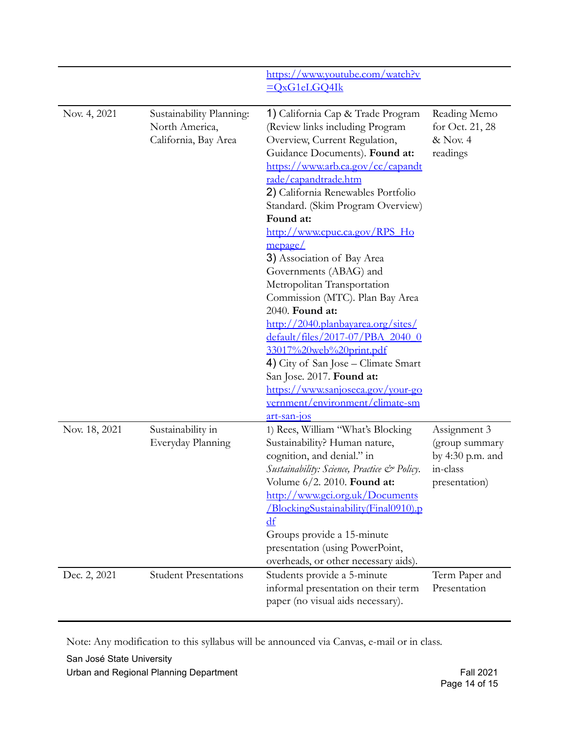|               |                                                                    | https://www.youtube.com/watch?v<br>$=OxG1eLGQ4Ik$                                                                                                                                                                                                                                                                                                                                                                                                                                                                                                                                                                                                                                                                                                            |                                                                                 |
|---------------|--------------------------------------------------------------------|--------------------------------------------------------------------------------------------------------------------------------------------------------------------------------------------------------------------------------------------------------------------------------------------------------------------------------------------------------------------------------------------------------------------------------------------------------------------------------------------------------------------------------------------------------------------------------------------------------------------------------------------------------------------------------------------------------------------------------------------------------------|---------------------------------------------------------------------------------|
| Nov. 4, 2021  | Sustainability Planning:<br>North America,<br>California, Bay Area | 1) California Cap & Trade Program<br>(Review links including Program<br>Overview, Current Regulation,<br>Guidance Documents). Found at:<br>https://www.arb.ca.gov/cc/capandt<br>rade/capandtrade.htm<br>2) California Renewables Portfolio<br>Standard. (Skim Program Overview)<br>Found at:<br>http://www.cpuc.ca.gov/RPS Ho<br>mepage/<br>3) Association of Bay Area<br>Governments (ABAG) and<br>Metropolitan Transportation<br>Commission (MTC). Plan Bay Area<br>2040. Found at:<br>http://2040.planbayarea.org/sites/<br>default/files/2017-07/PBA 2040 0<br>33017%20web%20print.pdf<br>4) City of San Jose – Climate Smart<br>San Jose. 2017. Found at:<br>https://www.sanjoseca.gov/your-go<br><u>vernment/environment/climate-sm</u><br>art-san-jos | Reading Memo<br>for Oct. 21, 28<br>& Nov. 4<br>readings                         |
| Nov. 18, 2021 | Sustainability in<br>Everyday Planning                             | 1) Rees, William "What's Blocking<br>Sustainability? Human nature,<br>cognition, and denial." in<br>Sustainability: Science, Practice & Policy.<br>Volume 6/2. 2010. Found at:<br>http://www.gci.org.uk/Documents<br>/BlockingSustainability(Final0910).p<br>$\mathbf{d}\mathbf{f}$<br>Groups provide a 15-minute<br>presentation (using PowerPoint,<br>overheads, or other necessary aids).                                                                                                                                                                                                                                                                                                                                                                 | Assignment 3<br>(group summary<br>by 4:30 p.m. and<br>in-class<br>presentation) |
| Dec. 2, 2021  | <b>Student Presentations</b>                                       | Students provide a 5-minute<br>informal presentation on their term<br>paper (no visual aids necessary).                                                                                                                                                                                                                                                                                                                                                                                                                                                                                                                                                                                                                                                      | Term Paper and<br>Presentation                                                  |

Note: Any modification to this syllabus will be announced via Canvas, e-mail or in class.